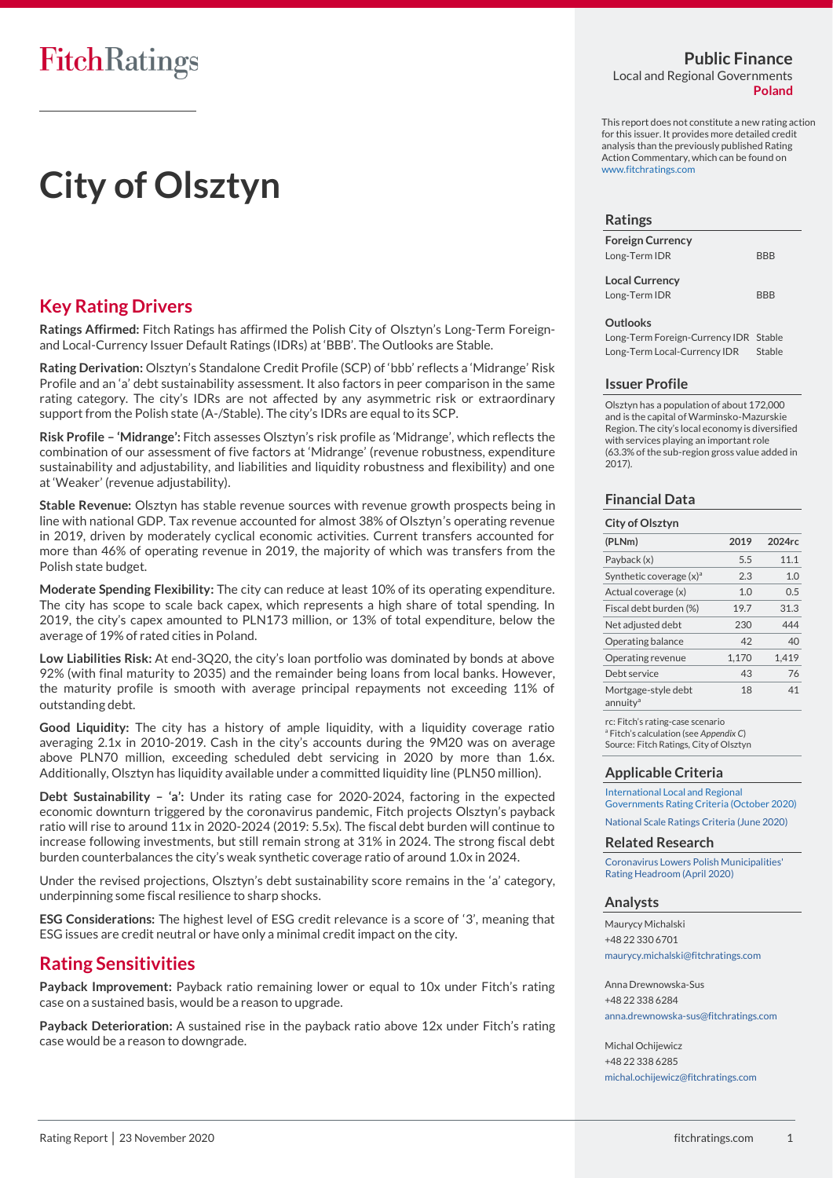# **City of Olsztyn**

### **Key Rating Drivers**

**Ratings Affirmed:** Fitch Ratings has affirmed the Polish City of Olsztyn's Long-Term Foreignand Local-Currency Issuer Default Ratings (IDRs) at 'BBB'. The Outlooks are Stable.

**Rating Derivation:** Olsztyn's Standalone Credit Profile (SCP) of 'bbb' reflects a 'Midrange' Risk Profile and an 'a' debt sustainability assessment. It also factors in peer comparison in the same rating category. The city's IDRs are not affected by any asymmetric risk or extraordinary support from the Polish state (A-/Stable). The city's IDRs are equal to its SCP.

**Risk Profile – 'Midrange':** Fitch assesses Olsztyn's risk profile as 'Midrange', which reflects the combination of our assessment of five factors at 'Midrange' (revenue robustness, expenditure sustainability and adjustability, and liabilities and liquidity robustness and flexibility) and one at 'Weaker' (revenue adjustability).

**Stable Revenue:** Olsztyn has stable revenue sources with revenue growth prospects being in line with national GDP. Tax revenue accounted for almost 38% of Olsztyn's operating revenue in 2019, driven by moderately cyclical economic activities. Current transfers accounted for more than 46% of operating revenue in 2019, the majority of which was transfers from the Polish state budget.

**Moderate Spending Flexibility:** The city can reduce at least 10% of its operating expenditure. The city has scope to scale back capex, which represents a high share of total spending. In 2019, the city's capex amounted to PLN173 million, or 13% of total expenditure, below the average of 19% of rated cities in Poland.

**Low Liabilities Risk:** At end-3Q20, the city's loan portfolio was dominated by bonds at above 92% (with final maturity to 2035) and the remainder being loans from local banks. However, the maturity profile is smooth with average principal repayments not exceeding 11% of outstanding debt.

**Good Liquidity:** The city has a history of ample liquidity, with a liquidity coverage ratio averaging 2.1x in 2010-2019. Cash in the city's accounts during the 9M20 was on average above PLN70 million, exceeding scheduled debt servicing in 2020 by more than 1.6x. Additionally, Olsztyn has liquidity available under a committed liquidity line (PLN50 million).

**Debt Sustainability – 'a':** Under its rating case for 2020-2024, factoring in the expected economic downturn triggered by the coronavirus pandemic, Fitch projects Olsztyn's payback ratio will rise to around 11x in 2020-2024 (2019: 5.5x). The fiscal debt burden will continue to increase following investments, but still remain strong at 31% in 2024. The strong fiscal debt burden counterbalances the city's weak synthetic coverage ratio of around 1.0x in 2024.

Under the revised projections, Olsztyn's debt sustainability score remains in the 'a' category, underpinning some fiscal resilience to sharp shocks.

**ESG Considerations:** The highest level of ESG credit relevance is a score of '3', meaning that ESG issues are credit neutral or have only a minimal credit impact on the city.

### **Rating Sensitivities**

**Payback Improvement:** Payback ratio remaining lower or equal to 10x under Fitch's rating case on a sustained basis, would be a reason to upgrade.

**Payback Deterioration:** A sustained rise in the payback ratio above 12x under Fitch's rating case would be a reason to downgrade.

### **Public Finance**

Local and Regional Governments **Poland**

This report does not constitute a new rating action for this issuer. It provides more detailed credit analysis than the previously published Rating Action Commentary, which can be found o[n](https://www.fitchratings.com/) [www.fitchratings.com](https://www.fitchratings.com/)

#### **Ratings**

| <b>Foreign Currency</b> |            |
|-------------------------|------------|
| Long-Term IDR           | <b>BBB</b> |

**Local Currency** Long-Term IDR BBB

#### **Outlooks**

Long-Term Foreign-Currency IDR Stable Long-Term Local-Currency IDR Stable

#### **Issuer Profile**

Olsztyn has a population of about 172,000 and is the capital of Warminsko-Mazurskie Region. The city's local economy is diversified with services playing an important role (63.3% of the sub-region gross value added in 2017).

### **Financial Data**

| City of Olsztyn                             |       |        |
|---------------------------------------------|-------|--------|
| (PLNm)                                      | 2019  | 2024rc |
| Payback (x)                                 | 5.5   | 11.1   |
| Synthetic coverage $(x)$ <sup>a</sup>       | 2.3   | 1.0    |
| Actual coverage (x)                         | 1.0   | 0.5    |
| Fiscal debt burden (%)                      | 19.7  | 31.3   |
| Net adjusted debt                           | 230   | 444    |
| Operating balance                           | 42    | 40     |
| Operating revenue                           | 1.170 | 1.419  |
| Debt service                                | 43    | 76     |
| Mortgage-style debt<br>annuity <sup>a</sup> | 18    | 41     |

rc: Fitch's rating-case scenario <sup>a</sup> Fitch's calculation (see *Appendix C*) Source: Fitch Ratings, City of Olsztyn

### **Applicable Criteria**

[International Local and Regional](https://www.fitchratings.com/site/re/10140419)  [Governments Rating Criteria \(October 2020\)](https://www.fitchratings.com/site/re/10140419) [National Scale Ratings Criteria \(June 2020\)](https://www.fitchratings.com/site/re/10121358)

**Related Research**

[Coronavirus Lowers Polish Municipalities'](https://www.fitchratings.com/site/pr/10117608)  [Rating Headroom \(April 2020\)](https://www.fitchratings.com/site/pr/10117608)

#### **Analysts**

Maurycy Michalski +48 22 330 6701 [maurycy.michalski@fitchratings.com](mailto:maurycy.michalski@fitchratings.com)

Anna Drewnowska-Sus +48 22 338 6284 [anna.drewnowska-sus@fitchratings.com](mailto:anna.drewnowska-sus@fitchratings.com)

Michal Ochijewicz +48 22 338 6285 [michal.ochijewicz@fitchratings.com](mailto:michal.ochijewicz@fitchratings.com)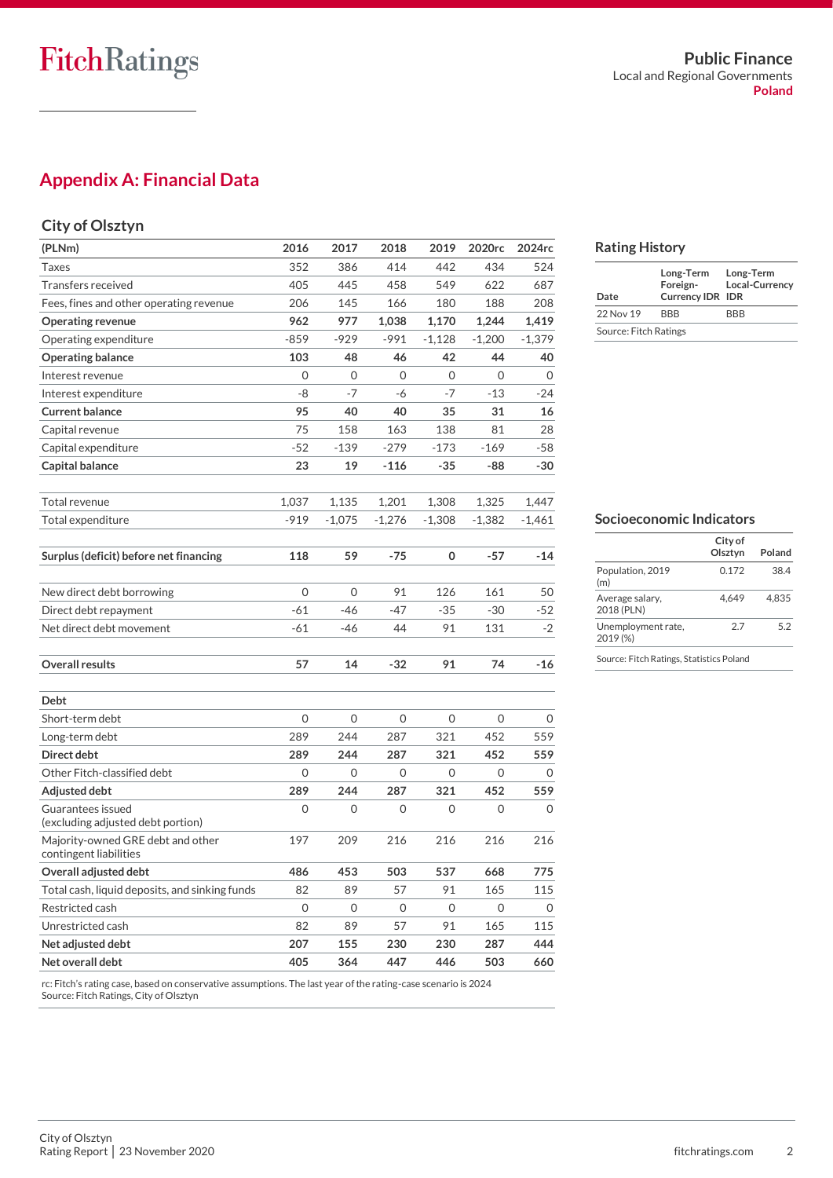### **Appendix A: Financial Data**

### **City of Olsztyn**

| (PLNm)                                         | 2016     | 2017     | 2018     | 2019     | 2020rc       | 2024rc   |
|------------------------------------------------|----------|----------|----------|----------|--------------|----------|
| Taxes                                          | 352      | 386      | 414      | 442      | 434          | 524      |
| Transfers received                             | 405      | 445      | 458      | 549      | 622          | 687      |
| Fees, fines and other operating revenue        | 206      | 145      | 166      | 180      | 188          | 208      |
| <b>Operating revenue</b>                       | 962      | 977      | 1,038    | 1,170    | 1,244        | 1,419    |
| Operating expenditure                          | $-859$   | $-929$   | $-991$   | $-1,128$ | $-1,200$     | $-1,379$ |
| <b>Operating balance</b>                       | 103      | 48       | 46       | 42       | 44           | 40       |
| Interest revenue                               | $\Omega$ | 0        | 0        | 0        | $\Omega$     | 0        |
| Interest expenditure                           | -8       | $-7$     | -6       | -7       | -13          | $-24$    |
| <b>Current balance</b>                         | 95       | 40       | 40       | 35       | 31           | 16       |
| Capital revenue                                | 75       | 158      | 163      | 138      | 81           | 28       |
| Capital expenditure                            | $-52$    | $-139$   | $-279$   | $-173$   | $-169$       | $-58$    |
| Capital balance                                | 23       | 19       | $-116$   | $-35$    | -88          | $-30$    |
|                                                |          |          |          |          |              |          |
| Total revenue                                  | 1,037    | 1,135    | 1,201    | 1,308    | 1,325        | 1,447    |
| Total expenditure                              | -919     | $-1,075$ | $-1,276$ | $-1,308$ | $-1,382$     | $-1,461$ |
|                                                |          |          |          |          |              |          |
| Surplus (deficit) before net financing         | 118      | 59       | -75      | 0        | $-57$        | -14      |
|                                                |          |          |          |          |              |          |
| New direct debt borrowing                      | 0        | $\Omega$ | 91       | 126      | 161          | 50       |
| Direct debt repayment                          | $-61$    | $-46$    | $-47$    | $-35$    | $-30$        | $-52$    |
| Net direct debt movement                       | -61      | -46      | 44       | 91       | 131          | $-2$     |
|                                                |          |          |          |          |              |          |
| <b>Overall results</b>                         | 57       | 14       | -32      | 91       | 74           | -16      |
|                                                |          |          |          |          |              |          |
| <b>Debt</b>                                    |          |          |          |          |              |          |
| Short-term debt                                | 0        | 0        | 0        | 0        | $\mathbf{O}$ | 0        |
| Long-term debt                                 | 289      | 244      | 287      | 321      | 452          | 559      |
| Direct debt                                    | 289      | 244      | 287      | 321      | 452          | 559      |
| Other Fitch-classified debt                    | 0        | 0        | 0        | 0        | 0            | 0        |
| Adjusted debt                                  | 289      | 244      | 287      | 321      | 452          | 559      |
| Guarantees issued                              | 0        | 0        | 0        | 0        | $\mathbf{O}$ | $\Omega$ |
| (excluding adjusted debt portion)              |          |          |          |          |              |          |
| Majority-owned GRE debt and other              | 197      | 209      | 216      | 216      | 216          | 216      |
| contingent liabilities                         |          |          |          |          |              |          |
| Overall adjusted debt                          | 486      | 453      | 503      | 537      | 668          | 775      |
| Total cash, liquid deposits, and sinking funds | 82       | 89       | 57       | 91       | 165          | 115      |
| Restricted cash                                | 0        | 0        | 0        | 0        | 0            | 0        |
| Unrestricted cash                              | 82       | 89       | 57       | 91       | 165          | 115      |
| Net adjusted debt                              | 207      | 155      | 230      | 230      | 287          | 444      |
| Net overall debt                               | 405      | 364      | 447      | 446      | 503          | 660      |

rc: Fitch's rating case, based on conservative assumptions. The last year of the rating-case scenario is 2024 Source: Fitch Ratings, City of Olsztyn

### **Rating History**

| Date                  | Long-Term<br>Foreign-<br><b>Currency IDR IDR</b> | Long-Term<br>Local-Currency |  |  |  |
|-----------------------|--------------------------------------------------|-----------------------------|--|--|--|
| 22 Nov 19             | <b>RRR</b>                                       | <b>RRR</b>                  |  |  |  |
| Source: Fitch Ratings |                                                  |                             |  |  |  |

### **Socioeconomic Indicators**

|                                          | City of<br>Olsztvn | Poland |  |
|------------------------------------------|--------------------|--------|--|
| Population, 2019<br>(m)                  | 0.172              | 38.4   |  |
| Average salary,<br>2018 (PLN)            | 4.649              | 4.835  |  |
| Unemployment rate,<br>2019 (%)           | 2.7                | 5.2    |  |
| Source: Fitch Ratings, Statistics Poland |                    |        |  |

City of Olsztyn Rating Report | 23 November 2020 **and 2018** fitchratings.com 2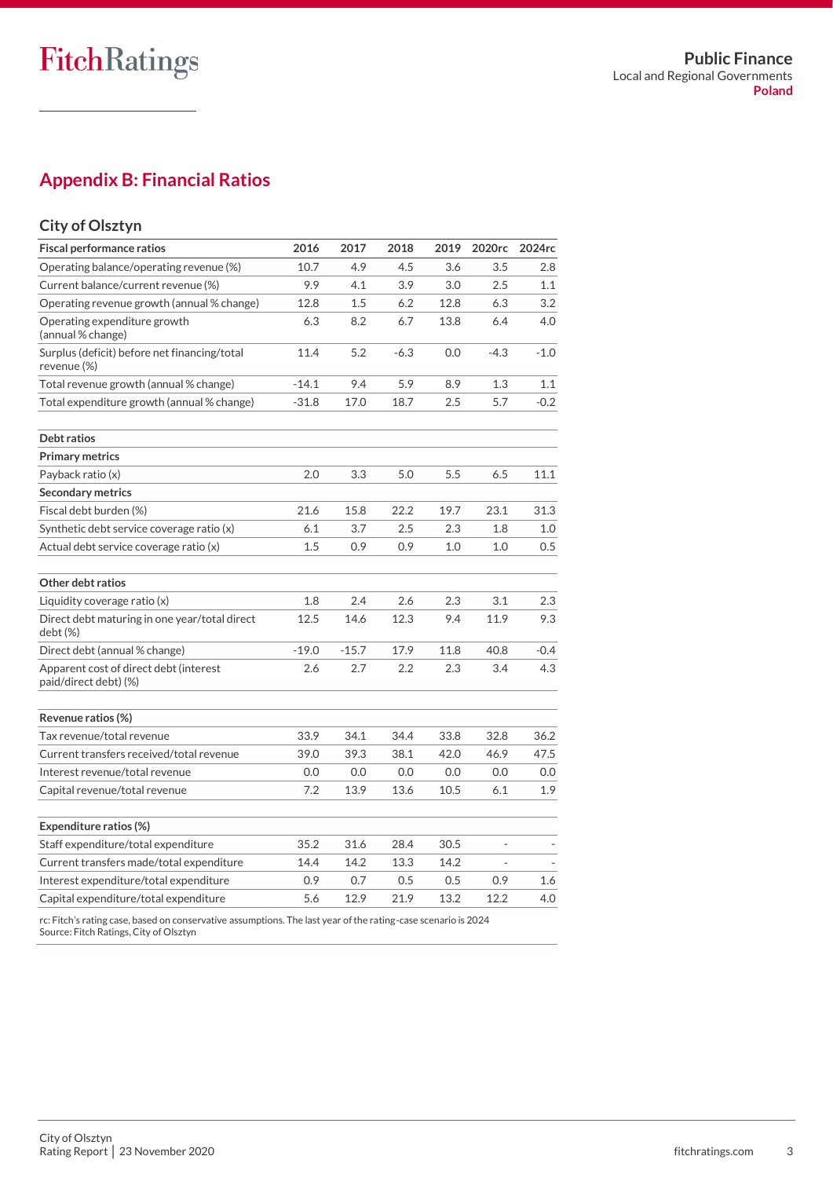### **Appendix B: Financial Ratios**

### **City of Olsztyn**

| <b>Fiscal performance ratios</b>                                | 2016    | 2017    | 2018    | 2019 | 2020rc                       | 2024rc |
|-----------------------------------------------------------------|---------|---------|---------|------|------------------------------|--------|
| Operating balance/operating revenue (%)                         | 10.7    | 4.9     | 4.5     | 3.6  | 3.5                          | 2.8    |
| Current balance/current revenue (%)                             | 9.9     | 4.1     | 3.9     | 3.0  | 2.5                          | 1.1    |
| Operating revenue growth (annual % change)                      | 12.8    | 1.5     | 6.2     | 12.8 | 6.3                          | 3.2    |
| Operating expenditure growth<br>(annual % change)               | 6.3     | 8.2     | 6.7     | 13.8 | 6.4                          | 4.0    |
| Surplus (deficit) before net financing/total<br>revenue (%)     | 11.4    | 5.2     | $-6.3$  | 0.0  | $-4.3$                       | $-1.0$ |
| Total revenue growth (annual % change)                          | $-14.1$ | 9.4     | 5.9     | 8.9  | 1.3                          | 1.1    |
| Total expenditure growth (annual % change)                      | $-31.8$ | 17.0    | 18.7    | 2.5  | 5.7                          | $-0.2$ |
| Debt ratios                                                     |         |         |         |      |                              |        |
| <b>Primary metrics</b>                                          |         |         |         |      |                              |        |
| Payback ratio (x)                                               | 2.0     | 3.3     | 5.0     | 5.5  | 6.5                          | 11.1   |
| <b>Secondary metrics</b>                                        |         |         |         |      |                              |        |
| Fiscal debt burden (%)                                          | 21.6    | 15.8    | 22.2    | 19.7 | 23.1                         | 31.3   |
| Synthetic debt service coverage ratio (x)                       | 6.1     | 3.7     | $2.5\,$ | 2.3  | 1.8                          | 1.0    |
| Actual debt service coverage ratio (x)                          | 1.5     | 0.9     | 0.9     | 1.0  | 1.0                          | 0.5    |
| Other debt ratios                                               |         |         |         |      |                              |        |
| Liquidity coverage ratio (x)                                    | 1.8     | 2.4     | 2.6     | 2.3  | 3.1                          | 2.3    |
| Direct debt maturing in one year/total direct<br>debt (%)       | 12.5    | 14.6    | 12.3    | 9.4  | 11.9                         | 9.3    |
| Direct debt (annual % change)                                   | $-19.0$ | $-15.7$ | 17.9    | 11.8 | 40.8                         | $-0.4$ |
| Apparent cost of direct debt (interest<br>paid/direct debt) (%) | 2.6     | 2.7     | 2.2     | 2.3  | 3.4                          | 4.3    |
| Revenue ratios (%)                                              |         |         |         |      |                              |        |
| Tax revenue/total revenue                                       | 33.9    | 34.1    | 34.4    | 33.8 | 32.8                         | 36.2   |
| Current transfers received/total revenue                        | 39.0    | 39.3    | 38.1    | 42.0 | 46.9                         | 47.5   |
| Interest revenue/total revenue                                  | 0.0     | 0.0     | 0.0     | 0.0  | 0.0                          | 0.0    |
| Capital revenue/total revenue                                   | 7.2     | 13.9    | 13.6    | 10.5 | 6.1                          | 1.9    |
| Expenditure ratios (%)                                          |         |         |         |      |                              |        |
| Staff expenditure/total expenditure                             | 35.2    | 31.6    | 28.4    | 30.5 | $\qquad \qquad \blacksquare$ |        |
| Current transfers made/total expenditure                        | 14.4    | 14.2    | 13.3    | 14.2 |                              |        |
| Interest expenditure/total expenditure                          | 0.9     | 0.7     | 0.5     | 0.5  | 0.9                          | 1.6    |
| Capital expenditure/total expenditure                           | 5.6     | 12.9    | 21.9    | 13.2 | 12.2                         | 4.0    |

rc: Fitch's rating case, based on conservative assumptions. The last year of the rating-case scenario is 2024 Source: Fitch Ratings, City of Olsztyn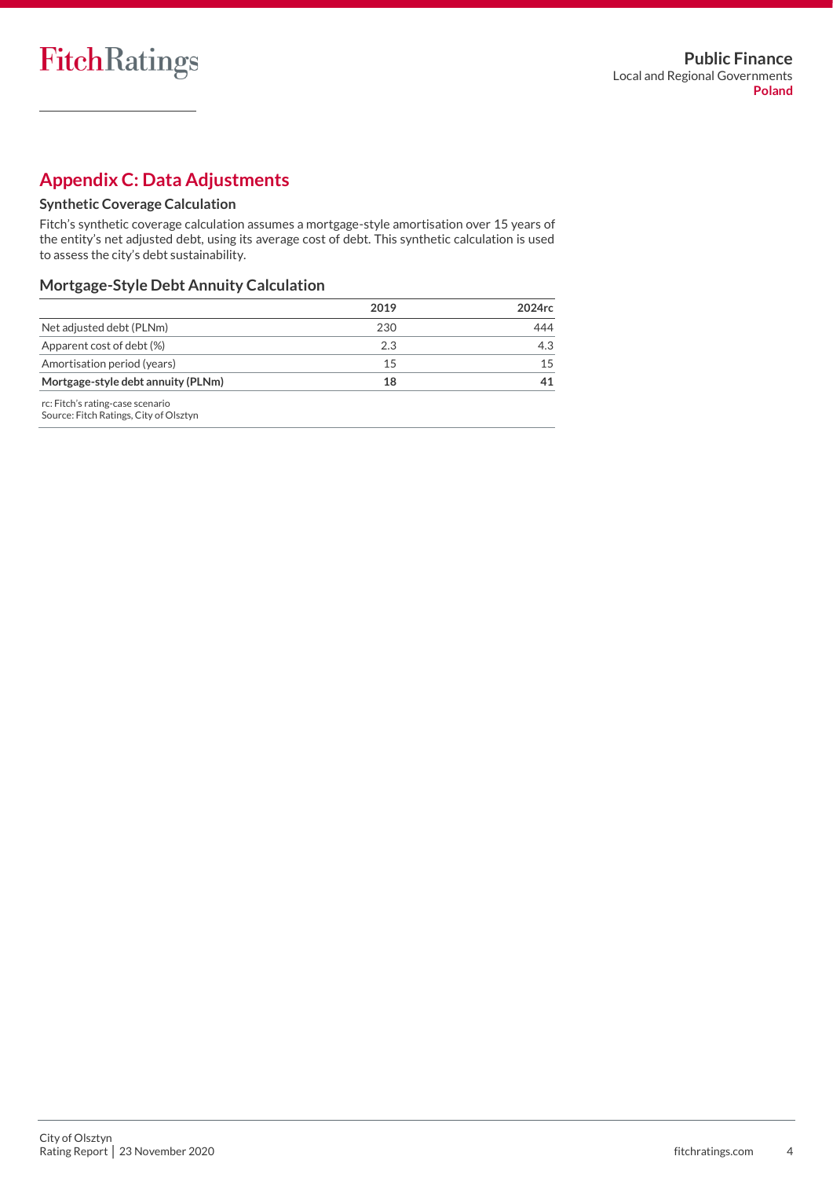### **Appendix C: Data Adjustments**

### **Synthetic Coverage Calculation**

Fitch's synthetic coverage calculation assumes a mortgage-style amortisation over 15 years of the entity's net adjusted debt, using its average cost of debt. This synthetic calculation is used to assess the city's debt sustainability.

### **Mortgage-Style Debt Annuity Calculation**

|                                                                            | 2019 | 2024rc |
|----------------------------------------------------------------------------|------|--------|
| Net adjusted debt (PLNm)                                                   | 230  | 444    |
| Apparent cost of debt (%)                                                  | 2.3  | 4.3    |
| Amortisation period (years)                                                | 15   | 15     |
| Mortgage-style debt annuity (PLNm)                                         | 18   | 41     |
| rc: Fitch's rating-case scenario<br>Source: Fitch Ratings, City of Olsztyn |      |        |